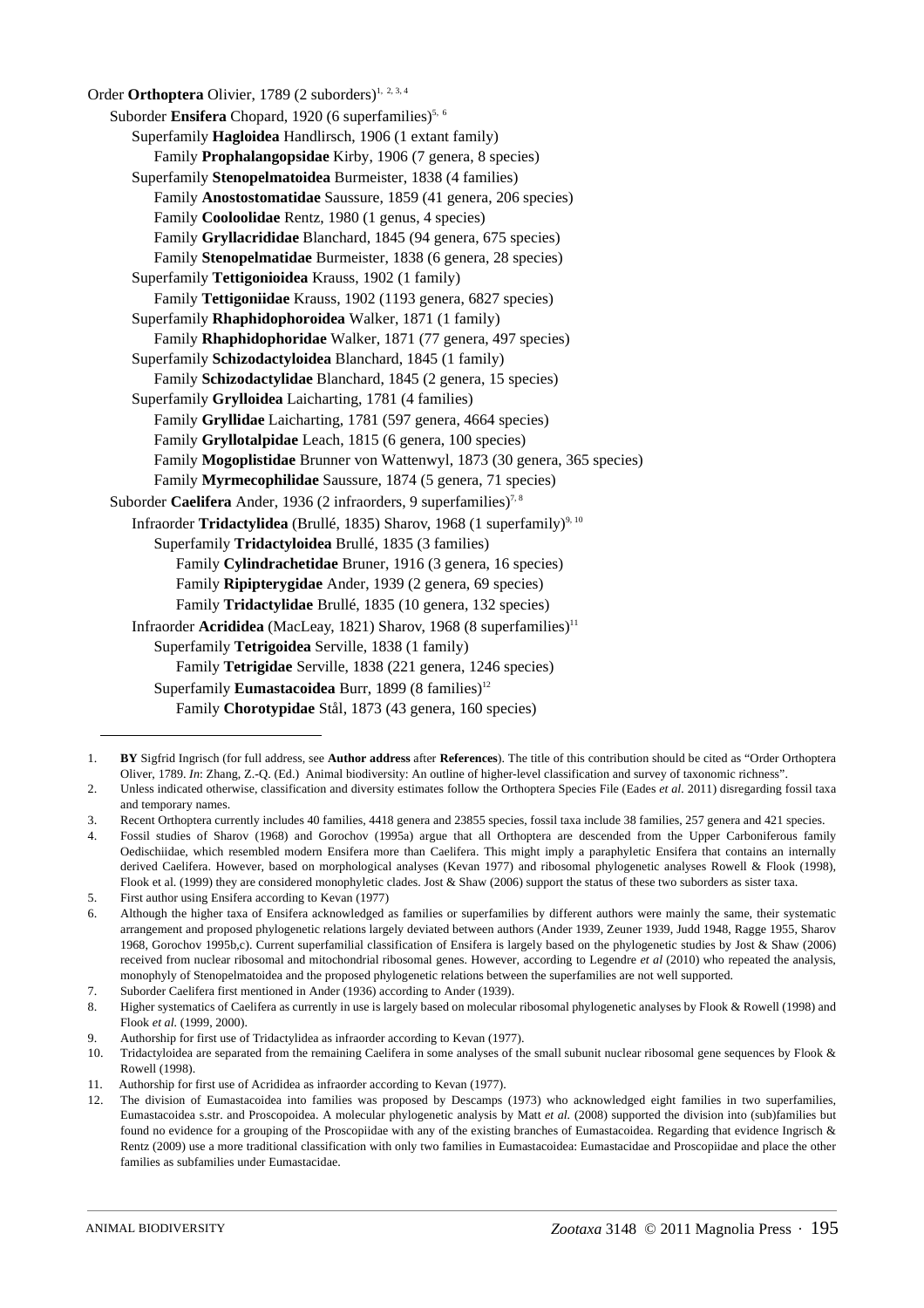Order **Orthoptera** Olivier, 1789 (2 suborders)<sup>1, 2, 3, 4</sup> Suborder Ensifera Chopard, 1920 (6 superfamilies)<sup>5, 6</sup> Superfamily **Hagloidea** Handlirsch, 1906 (1 extant family) Family **Prophalangopsidae** Kirby, 1906 (7 genera, 8 species) Superfamily **Stenopelmatoidea** Burmeister, 1838 (4 families) Family **Anostostomatidae** Saussure, 1859 (41 genera, 206 species) Family **Cooloolidae** Rentz, 1980 (1 genus, 4 species) Family **Gryllacrididae** Blanchard, 1845 (94 genera, 675 species) Family **Stenopelmatidae** Burmeister, 1838 (6 genera, 28 species) Superfamily **Tettigonioidea** Krauss, 1902 (1 family) Family **Tettigoniidae** Krauss, 1902 (1193 genera, 6827 species) Superfamily **Rhaphidophoroidea** Walker, 1871 (1 family) Family **Rhaphidophoridae** Walker, 1871 (77 genera, 497 species) Superfamily **Schizodactyloidea** Blanchard, 1845 (1 family) Family **Schizodactylidae** Blanchard, 1845 (2 genera, 15 species) Superfamily **Grylloidea** Laicharting, 1781 (4 families) Family **Gryllidae** Laicharting, 1781 (597 genera, 4664 species) Family **Gryllotalpidae** Leach, 1815 (6 genera, 100 species) Family **Mogoplistidae** Brunner von Wattenwyl, 1873 (30 genera, 365 species) Family **Myrmecophilidae** Saussure, 1874 (5 genera, 71 species) Suborder **Caelifera** Ander, 1936 (2 infraorders, 9 superfamilies)<sup>7,8</sup> Infraorder **Tridactylidea** (Brullé, 1835) Sharov, 1968 (1 superfamily)<sup>9, 10</sup> Superfamily **Tridactyloidea** Brullé, 1835 (3 families) Family **Cylindrachetidae** Bruner, 1916 (3 genera, 16 species) Family **Ripipterygidae** Ander, 1939 (2 genera, 69 species) Family **Tridactylidae** Brullé, 1835 (10 genera, 132 species) Infraorder **Acrididea** (MacLeay, 1821) Sharov, 1968 (8 superfamilies)<sup>11</sup> Superfamily **Tetrigoidea** Serville, 1838 (1 family) Family **Tetrigidae** Serville, 1838 (221 genera, 1246 species) Superfamily **Eumastacoidea** Burr, 1899 (8 families)<sup>12</sup> Family **Chorotypidae** Stål, 1873 (43 genera, 160 species)

<sup>1.</sup> **BY** Sigfrid Ingrisch (for full address, see **Author address** after **References**). The title of this contribution should be cited as "Order Orthoptera Oliver, 1789. *In*: Zhang, Z.-Q. (Ed.) Animal biodiversity: An outline of higher-level classification and survey of taxonomic richness".

<sup>2.</sup> Unless indicated otherwise, classification and diversity estimates follow the Orthoptera Species File (Eades *et al.* 2011) disregarding fossil taxa and temporary names.

<sup>3.</sup> Recent Orthoptera currently includes 40 families, 4418 genera and 23855 species, fossil taxa include 38 families, 257 genera and 421 species.

<sup>4.</sup> Fossil studies of Sharov (1968) and Gorochov (1995a) argue that all Orthoptera are descended from the Upper Carboniferous family Oedischiidae, which resembled modern Ensifera more than Caelifera. This might imply a paraphyletic Ensifera that contains an internally derived Caelifera. However, based on morphological analyses (Kevan 1977) and ribosomal phylogenetic analyses Rowell & Flook (1998), Flook et al. (1999) they are considered monophyletic clades. Jost & Shaw (2006) support the status of these two suborders as sister taxa.

<sup>5.</sup> First author using Ensifera according to Kevan (1977)

<sup>6.</sup> Although the higher taxa of Ensifera acknowledged as families or superfamilies by different authors were mainly the same, their systematic arrangement and proposed phylogenetic relations largely deviated between authors (Ander 1939, Zeuner 1939, Judd 1948, Ragge 1955, Sharov 1968, Gorochov 1995b,c). Current superfamilial classification of Ensifera is largely based on the phylogenetic studies by Jost & Shaw (2006) received from nuclear ribosomal and mitochondrial ribosomal genes. However, according to Legendre *et al* (2010) who repeated the analysis, monophyly of Stenopelmatoidea and the proposed phylogenetic relations between the superfamilies are not well supported.

<sup>7.</sup> Suborder Caelifera first mentioned in Ander (1936) according to Ander (1939).

<sup>8.</sup> Higher systematics of Caelifera as currently in use is largely based on molecular ribosomal phylogenetic analyses by Flook & Rowell (1998) and Flook *et al.* (1999, 2000).

<sup>9.</sup> Authorship for first use of Tridactylidea as infraorder according to Kevan (1977).

<sup>10.</sup> Tridactyloidea are separated from the remaining Caelifera in some analyses of the small subunit nuclear ribosomal gene sequences by Flook & Rowell (1998).

<sup>11.</sup> Authorship for first use of Acrididea as infraorder according to Kevan (1977).

<sup>12.</sup> The division of Eumastacoidea into families was proposed by Descamps (1973) who acknowledged eight families in two superfamilies, Eumastacoidea s.str. and Proscopoidea. A molecular phylogenetic analysis by Matt *et al.* (2008) supported the division into (sub)families but found no evidence for a grouping of the Proscopiidae with any of the existing branches of Eumastacoidea. Regarding that evidence Ingrisch & Rentz (2009) use a more traditional classification with only two families in Eumastacoidea: Eumastacidae and Proscopiidae and place the other families as subfamilies under Eumastacidae.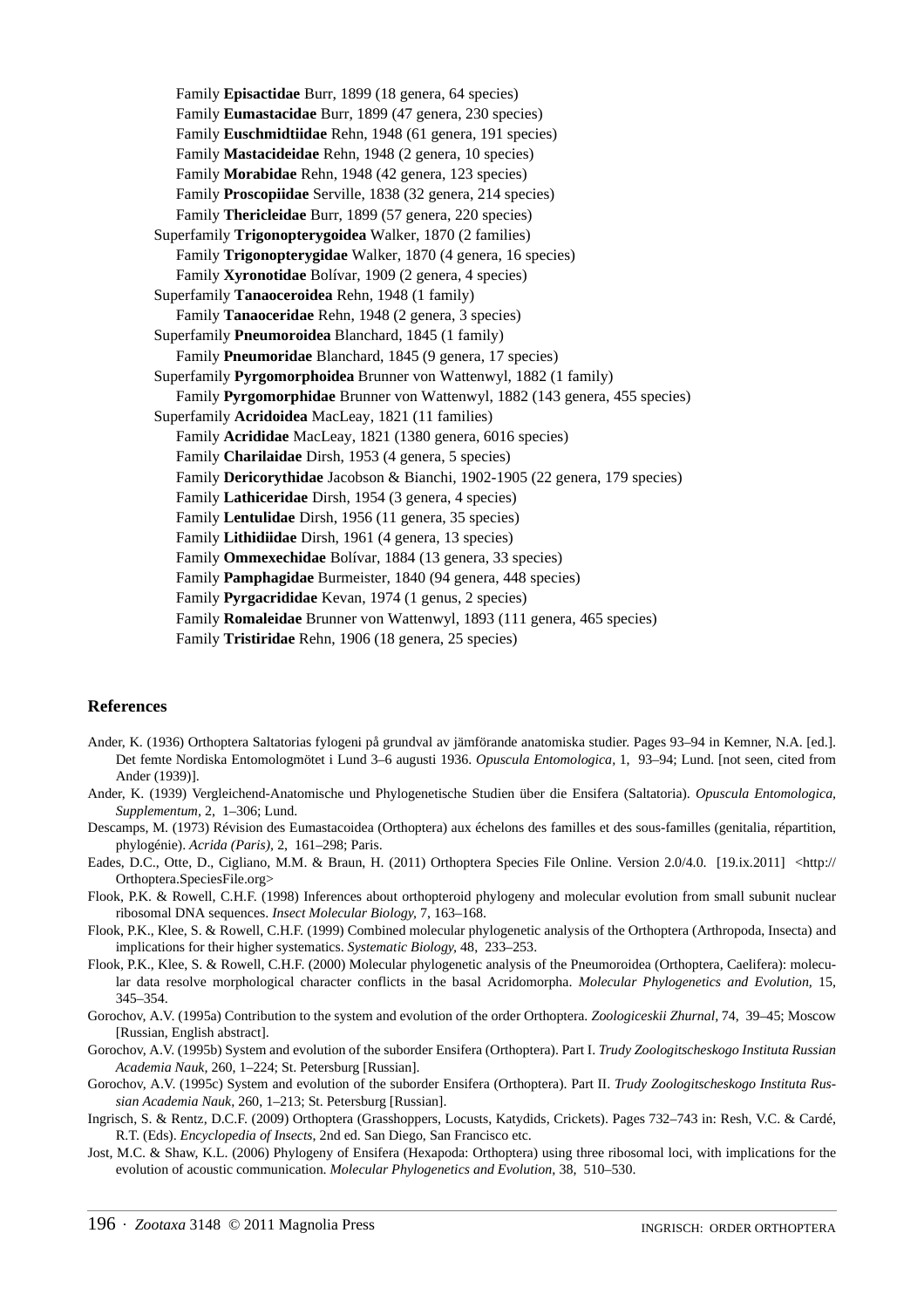Family **Episactidae** Burr, 1899 (18 genera, 64 species) Family **Eumastacidae** Burr, 1899 (47 genera, 230 species) Family **Euschmidtiidae** Rehn, 1948 (61 genera, 191 species) Family **Mastacideidae** Rehn, 1948 (2 genera, 10 species) Family **Morabidae** Rehn, 1948 (42 genera, 123 species) Family **Proscopiidae** Serville, 1838 (32 genera, 214 species) Family **Thericleidae** Burr, 1899 (57 genera, 220 species) Superfamily **Trigonopterygoidea** Walker, 1870 (2 families) Family **Trigonopterygidae** Walker, 1870 (4 genera, 16 species) Family **Xyronotidae** Bolívar, 1909 (2 genera, 4 species) Superfamily **Tanaoceroidea** Rehn, 1948 (1 family) Family **Tanaoceridae** Rehn, 1948 (2 genera, 3 species) Superfamily **Pneumoroidea** Blanchard, 1845 (1 family) Family **Pneumoridae** Blanchard, 1845 (9 genera, 17 species) Superfamily **Pyrgomorphoidea** Brunner von Wattenwyl, 1882 (1 family) Family **Pyrgomorphidae** Brunner von Wattenwyl, 1882 (143 genera, 455 species) Superfamily **Acridoidea** MacLeay, 1821 (11 families) Family **Acrididae** MacLeay, 1821 (1380 genera, 6016 species) Family **Charilaidae** Dirsh, 1953 (4 genera, 5 species) Family **Dericorythidae** Jacobson & Bianchi, 1902-1905 (22 genera, 179 species) Family **Lathiceridae** Dirsh, 1954 (3 genera, 4 species) Family **Lentulidae** Dirsh, 1956 (11 genera, 35 species) Family **Lithidiidae** Dirsh, 1961 (4 genera, 13 species) Family **Ommexechidae** Bolívar, 1884 (13 genera, 33 species) Family **Pamphagidae** Burmeister, 1840 (94 genera, 448 species) Family **Pyrgacrididae** Kevan, 1974 (1 genus, 2 species) Family **Romaleidae** Brunner von Wattenwyl, 1893 (111 genera, 465 species) Family **Tristiridae** Rehn, 1906 (18 genera, 25 species)

## **References**

- Ander, K. (1936) Orthoptera Saltatorias fylogeni på grundval av jämförande anatomiska studier. Pages 93–94 in Kemner, N.A. [ed.]. Det femte Nordiska Entomologmötet i Lund 3–6 augusti 1936. *Opuscula Entomologica,* 1, 93–94; Lund. [not seen, cited from Ander (1939)].
- Ander, K. (1939) Vergleichend-Anatomische und Phylogenetische Studien über die Ensifera (Saltatoria). *Opuscula Entomologica, Supplementum,* 2, 1–306; Lund.
- Descamps, M. (1973) Révision des Eumastacoidea (Orthoptera) aux échelons des familles et des sous-familles (genitalia, répartition, phylogénie). *Acrida (Paris),* 2, 161–298; Paris.
- Eades, D.C., Otte, D., Cigliano, M.M. & Braun, H. (2011) Orthoptera Species File Online. Version 2.0/4.0. [19.ix.2011] <http:// Orthoptera.SpeciesFile.org>
- Flook, P.K. & Rowell, C.H.F. (1998) Inferences about orthopteroid phylogeny and molecular evolution from small subunit nuclear ribosomal DNA sequences. *Insect Molecular Biology,* 7, 163–168.
- Flook, P.K., Klee, S. & Rowell, C.H.F. (1999) Combined molecular phylogenetic analysis of the Orthoptera (Arthropoda, Insecta) and implications for their higher systematics. *Systematic Biology,* 48, 233–253.
- Flook, P.K., Klee, S. & Rowell, C.H.F. (2000) Molecular phylogenetic analysis of the Pneumoroidea (Orthoptera, Caelifera): molecular data resolve morphological character conflicts in the basal Acridomorpha. *Molecular Phylogenetics and Evolution,* 15, 345–354.
- Gorochov, A.V. (1995a) Contribution to the system and evolution of the order Orthoptera. *Zoologiceskii Zhurnal,* 74, 39–45; Moscow [Russian, English abstract].
- Gorochov, A.V. (1995b) System and evolution of the suborder Ensifera (Orthoptera). Part I. *Trudy Zoologitscheskogo Instituta Russian Academia Nauk,* 260, 1–224; St. Petersburg [Russian].
- Gorochov, A.V. (1995c) System and evolution of the suborder Ensifera (Orthoptera). Part II. *Trudy Zoologitscheskogo Instituta Russian Academia Nauk,* 260, 1–213; St. Petersburg [Russian].
- Ingrisch, S. & Rentz, D.C.F. (2009) Orthoptera (Grasshoppers, Locusts, Katydids, Crickets). Pages 732–743 in: Resh, V.C. & Cardé, R.T. (Eds). *Encyclopedia of Insects*, 2nd ed. San Diego, San Francisco etc.
- Jost, M.C. & Shaw, K.L. (2006) Phylogeny of Ensifera (Hexapoda: Orthoptera) using three ribosomal loci, with implications for the evolution of acoustic communication. *Molecular Phylogenetics and Evolution,* 38, 510–530.